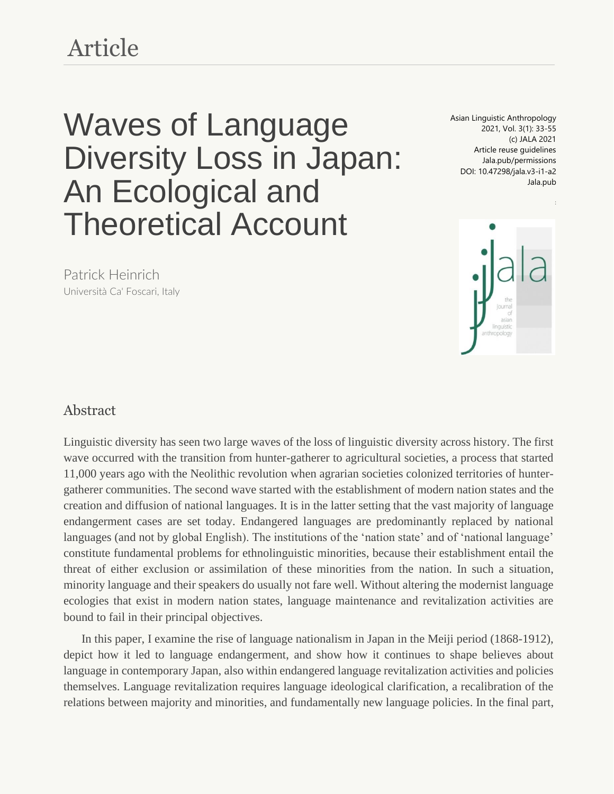# Article

# Waves of Language Diversity Loss in Japan: An Ecological and Theoretical Account

Asian Linguistic Anthropology 2021, Vol. 3(1): 33-55 (c) JALA 2021 Article reuse guidelines Jala.pub/permissions DOI: 10.47298/jala.v3-i1-a2 Jala.pub



Patrick Heinrich Università [Ca' Foscari, Italy](https://www.unive.it/)

#### Abstract

Linguistic diversity has seen two large waves of the loss of linguistic diversity across history. The first wave occurred with the transition from hunter-gatherer to agricultural societies, a process that started 11,000 years ago with the Neolithic revolution when agrarian societies colonized territories of huntergatherer communities. The second wave started with the establishment of modern nation states and the creation and diffusion of national languages. It is in the latter setting that the vast majority of language endangerment cases are set today. Endangered languages are predominantly replaced by national languages (and not by global English). The institutions of the 'nation state' and of 'national language' constitute fundamental problems for ethnolinguistic minorities, because their establishment entail the threat of either exclusion or assimilation of these minorities from the nation. In such a situation, minority language and their speakers do usually not fare well. Without altering the modernist language ecologies that exist in modern nation states, language maintenance and revitalization activities are bound to fail in their principal objectives.

In this paper, I examine the rise of language nationalism in Japan in the Meiji period (1868-1912), depict how it led to language endangerment, and show how it continues to shape believes about language in contemporary Japan, also within endangered language revitalization activities and policies themselves. Language revitalization requires language ideological clarification, a recalibration of the relations between majority and minorities, and fundamentally new language policies. In the final part,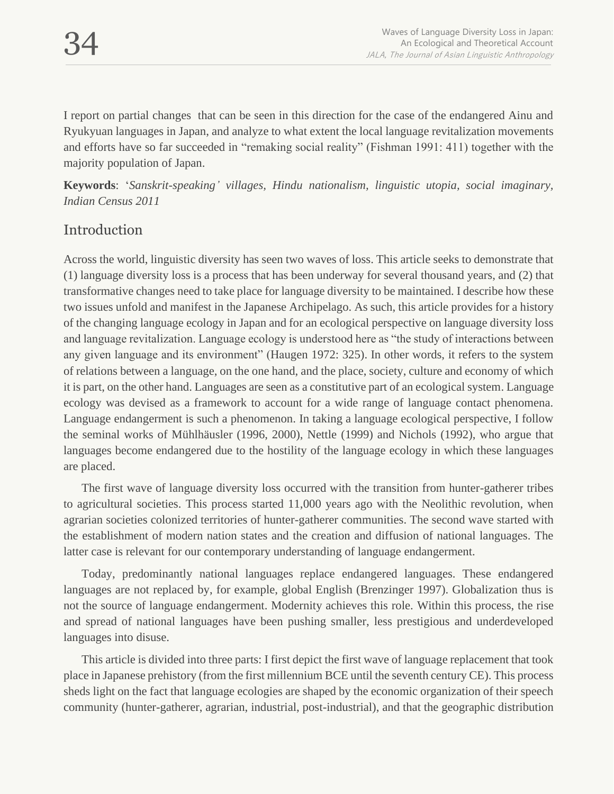I report on partial changes that can be seen in this direction for the case of the endangered Ainu and Ryukyuan languages in Japan, and analyze to what extent the local language revitalization movements and efforts have so far succeeded in "remaking social reality" (Fishman 1991: 411) together with the majority population of Japan.

**Keywords**: '*Sanskrit-speaking' villages, Hindu nationalism, linguistic utopia, social imaginary, Indian Census 2011*

# Introduction

Across the world, linguistic diversity has seen two waves of loss. This article seeks to demonstrate that (1) language diversity loss is a process that has been underway for several thousand years, and (2) that transformative changes need to take place for language diversity to be maintained. I describe how these two issues unfold and manifest in the Japanese Archipelago. As such, this article provides for a history of the changing language ecology in Japan and for an ecological perspective on language diversity loss and language revitalization. Language ecology is understood here as "the study of interactions between any given language and its environment" (Haugen 1972: 325). In other words, it refers to the system of relations between a language, on the one hand, and the place, society, culture and economy of which it is part, on the other hand. Languages are seen as a constitutive part of an ecological system. Language ecology was devised as a framework to account for a wide range of language contact phenomena. Language endangerment is such a phenomenon. In taking a language ecological perspective, I follow the seminal works of Mühlhäusler (1996, 2000), Nettle (1999) and Nichols (1992), who argue that languages become endangered due to the hostility of the language ecology in which these languages are placed.

The first wave of language diversity loss occurred with the transition from hunter-gatherer tribes to agricultural societies. This process started 11,000 years ago with the Neolithic revolution, when agrarian societies colonized territories of hunter-gatherer communities. The second wave started with the establishment of modern nation states and the creation and diffusion of national languages. The latter case is relevant for our contemporary understanding of language endangerment.

Today, predominantly national languages replace endangered languages. These endangered languages are not replaced by, for example, global English (Brenzinger 1997). Globalization thus is not the source of language endangerment. Modernity achieves this role. Within this process, the rise and spread of national languages have been pushing smaller, less prestigious and underdeveloped languages into disuse.

This article is divided into three parts: I first depict the first wave of language replacement that took place in Japanese prehistory (from the first millennium BCE until the seventh century CE). This process sheds light on the fact that language ecologies are shaped by the economic organization of their speech community (hunter-gatherer, agrarian, industrial, post-industrial), and that the geographic distribution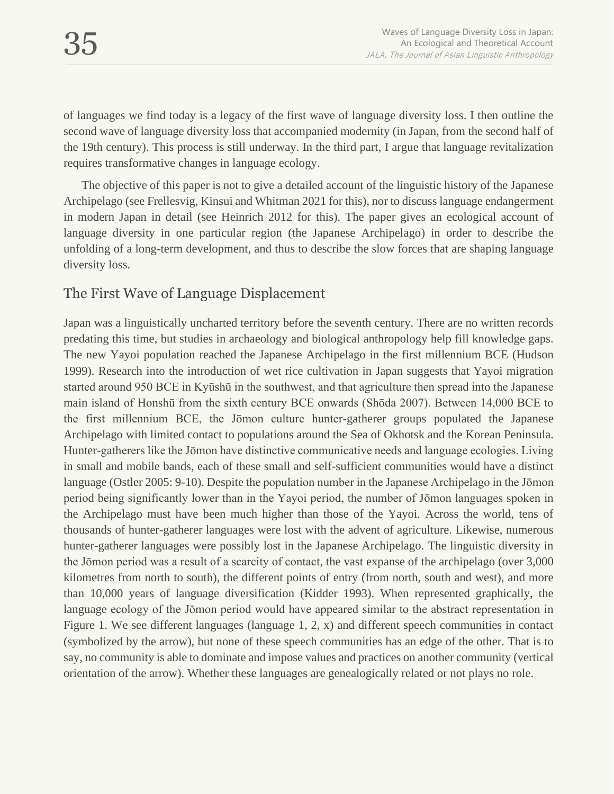of languages we find today is a legacy of the first wave of language diversity loss. I then outline the second wave of language diversity loss that accompanied modernity (in Japan, from the second half of the 19th century). This process is still underway. In the third part, I argue that language revitalization requires transformative changes in language ecology.

The objective of this paper is not to give a detailed account of the linguistic history of the Japanese Archipelago (see Frellesvig, Kinsui and Whitman 2021 for this), nor to discuss language endangerment in modern Japan in detail (see Heinrich 2012 for this). The paper gives an ecological account of language diversity in one particular region (the Japanese Archipelago) in order to describe the unfolding of a long-term development, and thus to describe the slow forces that are shaping language diversity loss.

## The First Wave of Language Displacement

Japan was a linguistically uncharted territory before the seventh century. There are no written records predating this time, but studies in archaeology and biological anthropology help fill knowledge gaps. The new Yayoi population reached the Japanese Archipelago in the first millennium BCE (Hudson 1999). Research into the introduction of wet rice cultivation in Japan suggests that Yayoi migration started around 950 BCE in Kyūshū in the southwest, and that agriculture then spread into the Japanese main island of Honshū from the sixth century BCE onwards (Shōda 2007). Between 14,000 BCE to the first millennium BCE, the Jōmon culture hunter-gatherer groups populated the Japanese Archipelago with limited contact to populations around the Sea of Okhotsk and the Korean Peninsula. Hunter-gatherers like the Jōmon have distinctive communicative needs and language ecologies. Living in small and mobile bands, each of these small and self-sufficient communities would have a distinct language (Ostler 2005: 9-10). Despite the population number in the Japanese Archipelago in the Jōmon period being significantly lower than in the Yayoi period, the number of Jōmon languages spoken in the Archipelago must have been much higher than those of the Yayoi. Across the world, tens of thousands of hunter-gatherer languages were lost with the advent of agriculture. Likewise, numerous hunter-gatherer languages were possibly lost in the Japanese Archipelago. The linguistic diversity in the Jōmon period was a result of a scarcity of contact, the vast expanse of the archipelago (over 3,000 kilometres from north to south), the different points of entry (from north, south and west), and more than 10,000 years of language diversification (Kidder 1993). When represented graphically, the language ecology of the Jōmon period would have appeared similar to the abstract representation in Figure 1. We see different languages (language 1, 2, x) and different speech communities in contact (symbolized by the arrow), but none of these speech communities has an edge of the other. That is to say, no community is able to dominate and impose values and practices on another community (vertical orientation of the arrow). Whether these languages are genealogically related or not plays no role.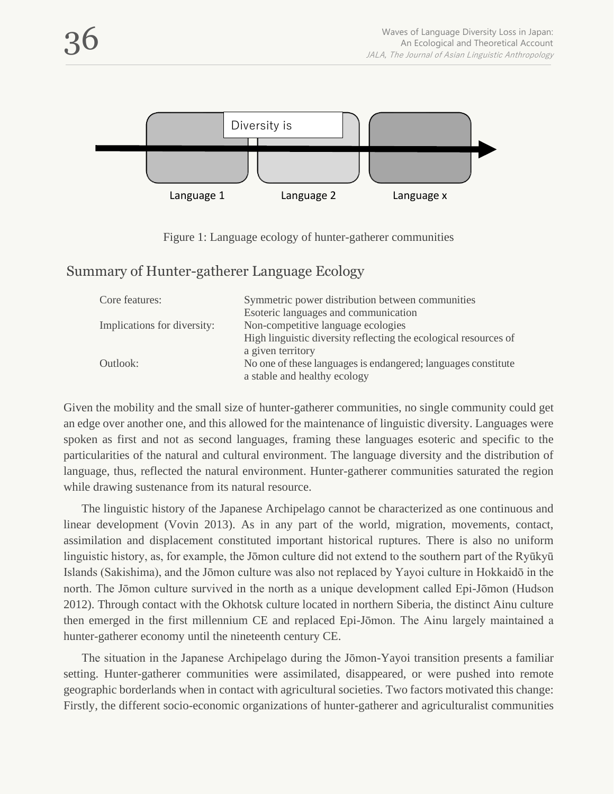

Figure 1: Language ecology of hunter-gatherer communities

#### Summary of Hunter-gatherer Language Ecology

| Core features:              | Symmetric power distribution between communities                 |
|-----------------------------|------------------------------------------------------------------|
|                             | Esoteric languages and communication                             |
| Implications for diversity: | Non-competitive language ecologies                               |
|                             | High linguistic diversity reflecting the ecological resources of |
|                             | a given territory                                                |
| Outlook:                    | No one of these languages is endangered; languages constitute    |
|                             | a stable and healthy ecology                                     |

Given the mobility and the small size of hunter-gatherer communities, no single community could get an edge over another one, and this allowed for the maintenance of linguistic diversity. Languages were spoken as first and not as second languages, framing these languages esoteric and specific to the particularities of the natural and cultural environment. The language diversity and the distribution of language, thus, reflected the natural environment. Hunter-gatherer communities saturated the region while drawing sustenance from its natural resource.

The linguistic history of the Japanese Archipelago cannot be characterized as one continuous and linear development (Vovin 2013). As in any part of the world, migration, movements, contact, assimilation and displacement constituted important historical ruptures. There is also no uniform linguistic history, as, for example, the Jōmon culture did not extend to the southern part of the Ryūkyū Islands (Sakishima), and the Jōmon culture was also not replaced by Yayoi culture in Hokkaidō in the north. The Jōmon culture survived in the north as a unique development called Epi-Jōmon (Hudson 2012). Through contact with the Okhotsk culture located in northern Siberia, the distinct Ainu culture then emerged in the first millennium CE and replaced Epi-Jōmon. The Ainu largely maintained a hunter-gatherer economy until the nineteenth century CE.

The situation in the Japanese Archipelago during the Jōmon-Yayoi transition presents a familiar setting. Hunter-gatherer communities were assimilated, disappeared, or were pushed into remote geographic borderlands when in contact with agricultural societies. Two factors motivated this change: Firstly, the different socio-economic organizations of hunter-gatherer and agriculturalist communities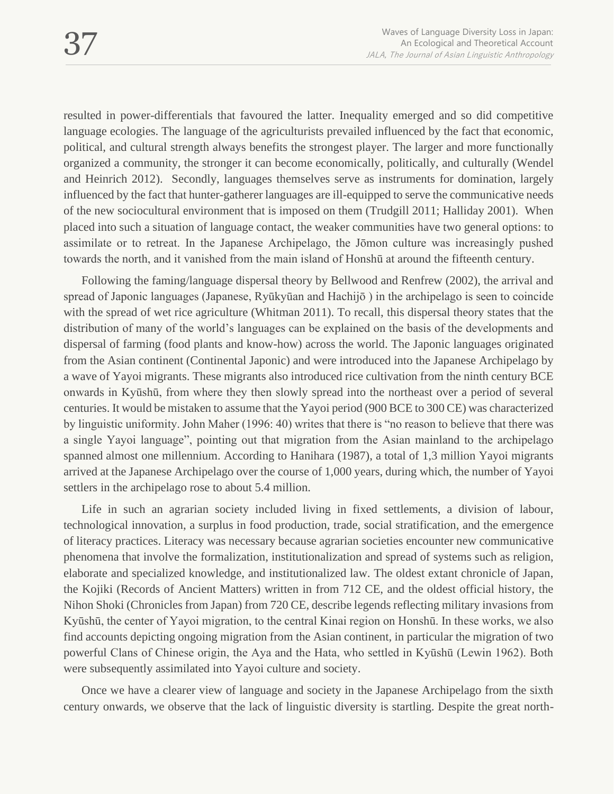resulted in power-differentials that favoured the latter. Inequality emerged and so did competitive language ecologies. The language of the agriculturists prevailed influenced by the fact that economic, political, and cultural strength always benefits the strongest player. The larger and more functionally organized a community, the stronger it can become economically, politically, and culturally (Wendel and Heinrich 2012). Secondly, languages themselves serve as instruments for domination, largely influenced by the fact that hunter-gatherer languages are ill-equipped to serve the communicative needs of the new sociocultural environment that is imposed on them (Trudgill 2011; Halliday 2001). When placed into such a situation of language contact, the weaker communities have two general options: to assimilate or to retreat. In the Japanese Archipelago, the Jōmon culture was increasingly pushed towards the north, and it vanished from the main island of Honshū at around the fifteenth century.

Following the faming/language dispersal theory by Bellwood and Renfrew (2002), the arrival and spread of Japonic languages (Japanese, Ryūkyūan and Hachijō ) in the archipelago is seen to coincide with the spread of wet rice agriculture (Whitman 2011). To recall, this dispersal theory states that the distribution of many of the world's languages can be explained on the basis of the developments and dispersal of farming (food plants and know-how) across the world. The Japonic languages originated from the Asian continent (Continental Japonic) and were introduced into the Japanese Archipelago by a wave of Yayoi migrants. These migrants also introduced rice cultivation from the ninth century BCE onwards in Kyūshū, from where they then slowly spread into the northeast over a period of several centuries. It would be mistaken to assume that the Yayoi period (900 BCE to 300 CE) was characterized by linguistic uniformity. John Maher (1996: 40) writes that there is "no reason to believe that there was a single Yayoi language", pointing out that migration from the Asian mainland to the archipelago spanned almost one millennium. According to Hanihara (1987), a total of 1,3 million Yayoi migrants arrived at the Japanese Archipelago over the course of 1,000 years, during which, the number of Yayoi settlers in the archipelago rose to about 5.4 million.

Life in such an agrarian society included living in fixed settlements, a division of labour, technological innovation, a surplus in food production, trade, social stratification, and the emergence of literacy practices. Literacy was necessary because agrarian societies encounter new communicative phenomena that involve the formalization, institutionalization and spread of systems such as religion, elaborate and specialized knowledge, and institutionalized law. The oldest extant chronicle of Japan, the Kojiki (Records of Ancient Matters) written in from 712 CE, and the oldest official history, the Nihon Shoki (Chronicles from Japan) from 720 CE, describe legends reflecting military invasions from Kyūshū, the center of Yayoi migration, to the central Kinai region on Honshū. In these works, we also find accounts depicting ongoing migration from the Asian continent, in particular the migration of two powerful Clans of Chinese origin, the Aya and the Hata, who settled in Kyūshū (Lewin 1962). Both were subsequently assimilated into Yayoi culture and society.

Once we have a clearer view of language and society in the Japanese Archipelago from the sixth century onwards, we observe that the lack of linguistic diversity is startling. Despite the great north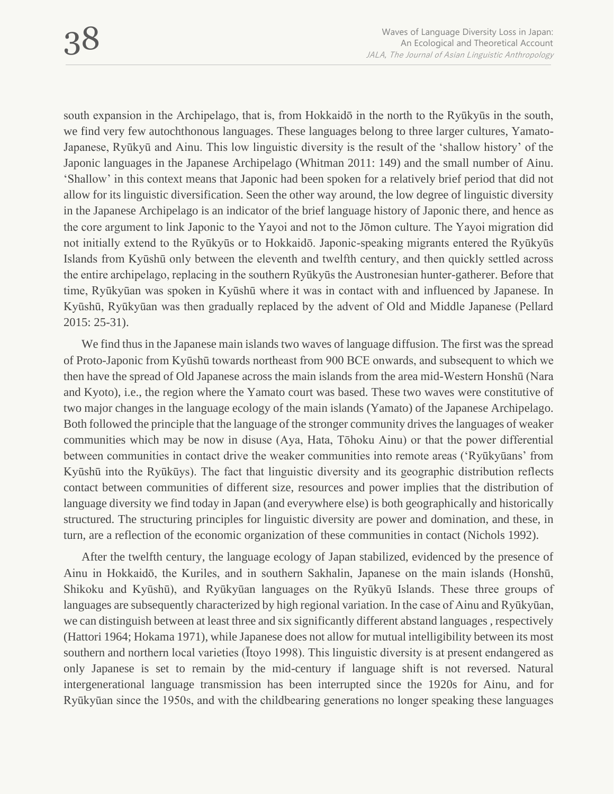south expansion in the Archipelago, that is, from Hokkaidō in the north to the Ryūkyūs in the south, we find very few autochthonous languages. These languages belong to three larger cultures, Yamato-Japanese, Ryūkyū and Ainu. This low linguistic diversity is the result of the 'shallow history' of the Japonic languages in the Japanese Archipelago (Whitman 2011: 149) and the small number of Ainu. 'Shallow' in this context means that Japonic had been spoken for a relatively brief period that did not allow for its linguistic diversification. Seen the other way around, the low degree of linguistic diversity in the Japanese Archipelago is an indicator of the brief language history of Japonic there, and hence as the core argument to link Japonic to the Yayoi and not to the Jōmon culture. The Yayoi migration did not initially extend to the Ryūkyūs or to Hokkaidō. Japonic-speaking migrants entered the Ryūkyūs Islands from Kyūshū only between the eleventh and twelfth century, and then quickly settled across the entire archipelago, replacing in the southern Ryūkyūs the Austronesian hunter-gatherer. Before that time, Ryūkyūan was spoken in Kyūshū where it was in contact with and influenced by Japanese. In Kyūshū, Ryūkyūan was then gradually replaced by the advent of Old and Middle Japanese (Pellard 2015: 25-31).

We find thus in the Japanese main islands two waves of language diffusion. The first was the spread of Proto-Japonic from Kyūshū towards northeast from 900 BCE onwards, and subsequent to which we then have the spread of Old Japanese across the main islands from the area mid-Western Honshū (Nara and Kyoto), i.e., the region where the Yamato court was based. These two waves were constitutive of two major changes in the language ecology of the main islands (Yamato) of the Japanese Archipelago. Both followed the principle that the language of the stronger community drives the languages of weaker communities which may be now in disuse (Aya, Hata, Tōhoku Ainu) or that the power differential between communities in contact drive the weaker communities into remote areas ('Ryūkyūans' from Kyūshū into the Ryūkūys). The fact that linguistic diversity and its geographic distribution reflects contact between communities of different size, resources and power implies that the distribution of language diversity we find today in Japan (and everywhere else) is both geographically and historically structured. The structuring principles for linguistic diversity are power and domination, and these, in turn, are a reflection of the economic organization of these communities in contact (Nichols 1992).

After the twelfth century, the language ecology of Japan stabilized, evidenced by the presence of Ainu in Hokkaidō, the Kuriles, and in southern Sakhalin, Japanese on the main islands (Honshū, Shikoku and Kyūshū), and Ryūkyūan languages on the Ryūkyū Islands. These three groups of languages are subsequently characterized by high regional variation. In the case of Ainu and Ryūkyūan, we can distinguish between at least three and six significantly different abstand languages , respectively (Hattori 1964; Hokama 1971), while Japanese does not allow for mutual intelligibility between its most southern and northern local varieties (Ītoyo 1998). This linguistic diversity is at present endangered as only Japanese is set to remain by the mid-century if language shift is not reversed. Natural intergenerational language transmission has been interrupted since the 1920s for Ainu, and for Ryūkyūan since the 1950s, and with the childbearing generations no longer speaking these languages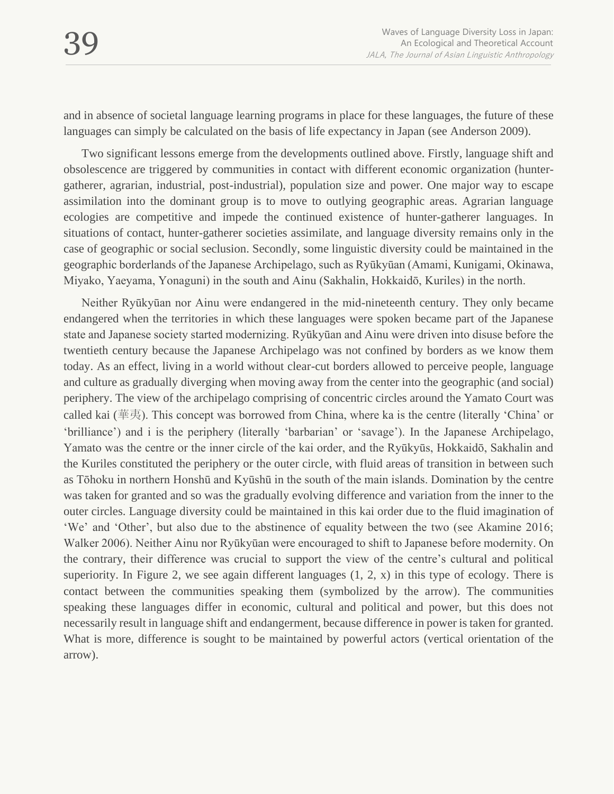and in absence of societal language learning programs in place for these languages, the future of these languages can simply be calculated on the basis of life expectancy in Japan (see Anderson 2009).

Two significant lessons emerge from the developments outlined above. Firstly, language shift and obsolescence are triggered by communities in contact with different economic organization (huntergatherer, agrarian, industrial, post-industrial), population size and power. One major way to escape assimilation into the dominant group is to move to outlying geographic areas. Agrarian language ecologies are competitive and impede the continued existence of hunter-gatherer languages. In situations of contact, hunter-gatherer societies assimilate, and language diversity remains only in the case of geographic or social seclusion. Secondly, some linguistic diversity could be maintained in the geographic borderlands of the Japanese Archipelago, such as Ryūkyūan (Amami, Kunigami, Okinawa, Miyako, Yaeyama, Yonaguni) in the south and Ainu (Sakhalin, Hokkaidō, Kuriles) in the north.

Neither Ryūkyūan nor Ainu were endangered in the mid-nineteenth century. They only became endangered when the territories in which these languages were spoken became part of the Japanese state and Japanese society started modernizing. Ryūkyūan and Ainu were driven into disuse before the twentieth century because the Japanese Archipelago was not confined by borders as we know them today. As an effect, living in a world without clear-cut borders allowed to perceive people, language and culture as gradually diverging when moving away from the center into the geographic (and social) periphery. The view of the archipelago comprising of concentric circles around the Yamato Court was called kai (華夷). This concept was borrowed from China, where ka is the centre (literally 'China' or 'brilliance') and i is the periphery (literally 'barbarian' or 'savage'). In the Japanese Archipelago, Yamato was the centre or the inner circle of the kai order, and the Ryūkyūs, Hokkaidō, Sakhalin and the Kuriles constituted the periphery or the outer circle, with fluid areas of transition in between such as Tōhoku in northern Honshū and Kyūshū in the south of the main islands. Domination by the centre was taken for granted and so was the gradually evolving difference and variation from the inner to the outer circles. Language diversity could be maintained in this kai order due to the fluid imagination of 'We' and 'Other', but also due to the abstinence of equality between the two (see Akamine 2016; Walker 2006). Neither Ainu nor Ryūkyūan were encouraged to shift to Japanese before modernity. On the contrary, their difference was crucial to support the view of the centre's cultural and political superiority. In Figure 2, we see again different languages  $(1, 2, x)$  in this type of ecology. There is contact between the communities speaking them (symbolized by the arrow). The communities speaking these languages differ in economic, cultural and political and power, but this does not necessarily result in language shift and endangerment, because difference in power is taken for granted. What is more, difference is sought to be maintained by powerful actors (vertical orientation of the arrow).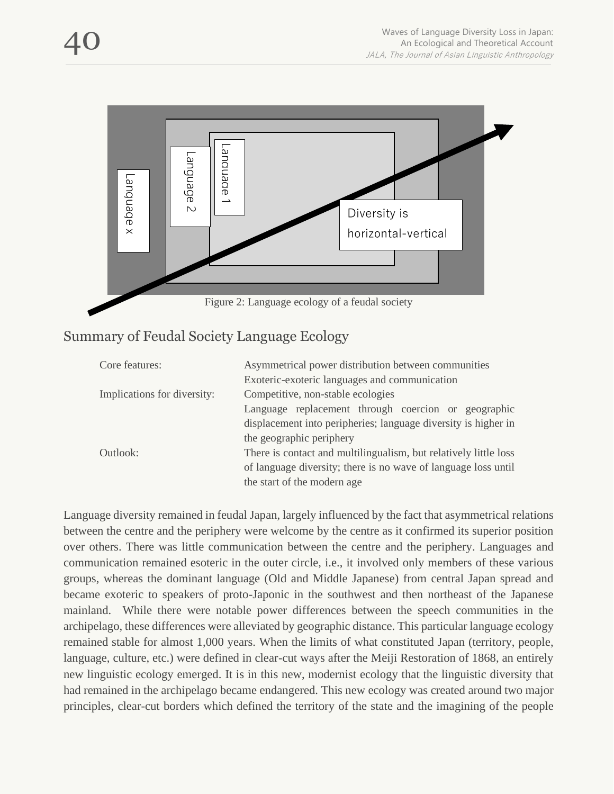



#### Summary of Feudal Society Language Ecology

| Core features:              | Asymmetrical power distribution between communities              |
|-----------------------------|------------------------------------------------------------------|
|                             | Exoteric-exoteric languages and communication                    |
| Implications for diversity: | Competitive, non-stable ecologies                                |
|                             | Language replacement through coercion or geographic              |
|                             | displacement into peripheries; language diversity is higher in   |
|                             | the geographic periphery                                         |
| Outlook:                    | There is contact and multilingualism, but relatively little loss |
|                             | of language diversity; there is no wave of language loss until   |
|                             | the start of the modern age                                      |

Language diversity remained in feudal Japan, largely influenced by the fact that asymmetrical relations between the centre and the periphery were welcome by the centre as it confirmed its superior position over others. There was little communication between the centre and the periphery. Languages and communication remained esoteric in the outer circle, i.e., it involved only members of these various groups, whereas the dominant language (Old and Middle Japanese) from central Japan spread and became exoteric to speakers of proto-Japonic in the southwest and then northeast of the Japanese mainland. While there were notable power differences between the speech communities in the archipelago, these differences were alleviated by geographic distance. This particular language ecology remained stable for almost 1,000 years. When the limits of what constituted Japan (territory, people, language, culture, etc.) were defined in clear-cut ways after the Meiji Restoration of 1868, an entirely new linguistic ecology emerged. It is in this new, modernist ecology that the linguistic diversity that had remained in the archipelago became endangered. This new ecology was created around two major **Example 19**<br> **Example 2.** Language ecology of a feudal society<br>
Summary of Feudal Society Language Ecology<br>
Core feature:<br>  $\frac{1}{2}$  competitive, one-state consider exception between communities<br>  $\frac{1}{2}$  competitive, o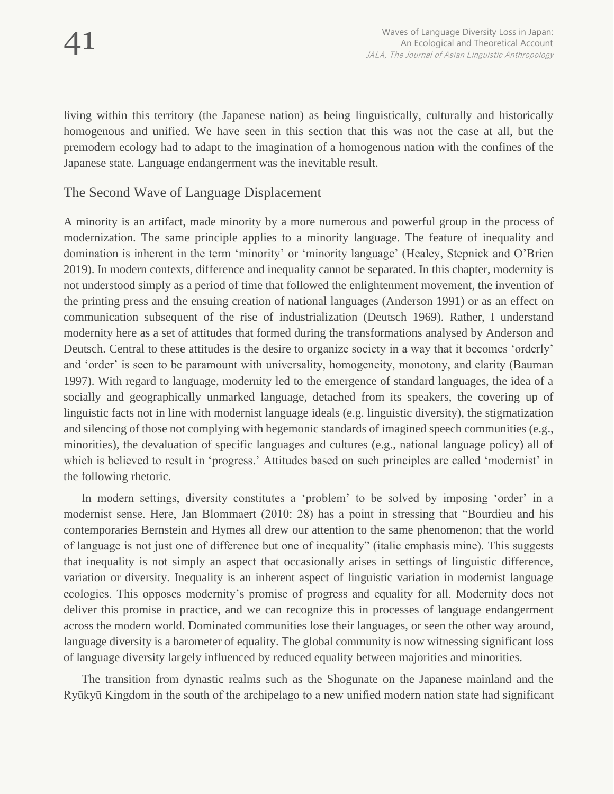living within this territory (the Japanese nation) as being linguistically, culturally and historically homogenous and unified. We have seen in this section that this was not the case at all, but the premodern ecology had to adapt to the imagination of a homogenous nation with the confines of the Japanese state. Language endangerment was the inevitable result.

#### The Second Wave of Language Displacement

A minority is an artifact, made minority by a more numerous and powerful group in the process of modernization. The same principle applies to a minority language. The feature of inequality and domination is inherent in the term 'minority' or 'minority language' (Healey, Stepnick and O'Brien 2019). In modern contexts, difference and inequality cannot be separated. In this chapter, modernity is not understood simply as a period of time that followed the enlightenment movement, the invention of the printing press and the ensuing creation of national languages (Anderson 1991) or as an effect on communication subsequent of the rise of industrialization (Deutsch 1969). Rather, I understand modernity here as a set of attitudes that formed during the transformations analysed by Anderson and Deutsch. Central to these attitudes is the desire to organize society in a way that it becomes 'orderly' and 'order' is seen to be paramount with universality, homogeneity, monotony, and clarity (Bauman 1997). With regard to language, modernity led to the emergence of standard languages, the idea of a socially and geographically unmarked language, detached from its speakers, the covering up of linguistic facts not in line with modernist language ideals (e.g. linguistic diversity), the stigmatization and silencing of those not complying with hegemonic standards of imagined speech communities (e.g., minorities), the devaluation of specific languages and cultures (e.g., national language policy) all of which is believed to result in 'progress.' Attitudes based on such principles are called 'modernist' in the following rhetoric.

In modern settings, diversity constitutes a 'problem' to be solved by imposing 'order' in a modernist sense. Here, Jan Blommaert (2010: 28) has a point in stressing that "Bourdieu and his contemporaries Bernstein and Hymes all drew our attention to the same phenomenon; that the world of language is not just one of difference but one of inequality" (italic emphasis mine). This suggests that inequality is not simply an aspect that occasionally arises in settings of linguistic difference, variation or diversity. Inequality is an inherent aspect of linguistic variation in modernist language ecologies. This opposes modernity's promise of progress and equality for all. Modernity does not deliver this promise in practice, and we can recognize this in processes of language endangerment across the modern world. Dominated communities lose their languages, or seen the other way around, language diversity is a barometer of equality. The global community is now witnessing significant loss of language diversity largely influenced by reduced equality between majorities and minorities.

The transition from dynastic realms such as the Shogunate on the Japanese mainland and the Ryūkyū Kingdom in the south of the archipelago to a new unified modern nation state had significant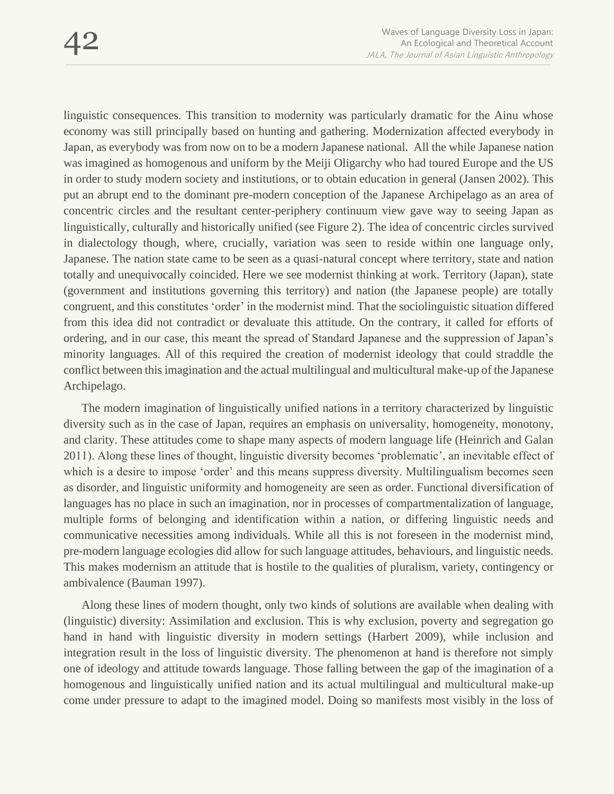linguistic consequences. This transition to modernity was particularly dramatic for the Ainu whose economy was still principally based on hunting and gathering. Modernization affected everybody in Japan, as everybody was from now on to be a modern Japanese national. All the while Japanese nation was imagined as homogenous and uniform by the Meiji Oligarchy who had toured Europe and the US in order to study modern society and institutions, or to obtain education in general (Jansen 2002). This put an abrupt end to the dominant pre-modern conception of the Japanese Archipelago as an area of concentric circles and the resultant center-periphery continuum view gave way to seeing Japan as linguistically, culturally and historically unified (see Figure 2). The idea of concentric circles survived in dialectology though, where, crucially, variation was seen to reside within one language only, Japanese. The nation state came to be seen as a quasi-natural concept where territory, state and nation totally and unequivocally coincided. Here we see modernist thinking at work. Territory (Japan), state (government and institutions governing this territory) and nation (the Japanese people) are totally congruent, and this constitutes 'order' in the modernist mind. That the sociolinguistic situation differed from this idea did not contradict or devaluate this attitude. On the contrary, it called for efforts of ordering, and in our case, this meant the spread of Standard Japanese and the suppression of Japan's minority languages. All of this required the creation of modernist ideology that could straddle the conflict between this imagination and the actual multilingual and multicultural make-up of the Japanese Archipelago.

The modern imagination of linguistically unified nations in a territory characterized by linguistic diversity such as in the case of Japan, requires an emphasis on universality, homogeneity, monotony, and clarity. These attitudes come to shape many aspects of modern language life (Heinrich and Galan 2011). Along these lines of thought, linguistic diversity becomes 'problematic', an inevitable effect of which is a desire to impose 'order' and this means suppress diversity. Multilingualism becomes seen as disorder, and linguistic uniformity and homogeneity are seen as order. Functional diversification of languages has no place in such an imagination, nor in processes of compartmentalization of language, multiple forms of belonging and identification within a nation, or differing linguistic needs and communicative necessities among individuals. While all this is not foreseen in the modernist mind, pre-modern language ecologies did allow for such language attitudes, behaviours, and linguistic needs. This makes modernism an attitude that is hostile to the qualities of pluralism, variety, contingency or ambivalence (Bauman 1997).

Along these lines of modern thought, only two kinds of solutions are available when dealing with (linguistic) diversity: Assimilation and exclusion. This is why exclusion, poverty and segregation go hand in hand with linguistic diversity in modern settings (Harbert 2009), while inclusion and integration result in the loss of linguistic diversity. The phenomenon at hand is therefore not simply one of ideology and attitude towards language. Those falling between the gap of the imagination of a homogenous and linguistically unified nation and its actual multilingual and multicultural make-up come under pressure to adapt to the imagined model. Doing so manifests most visibly in the loss of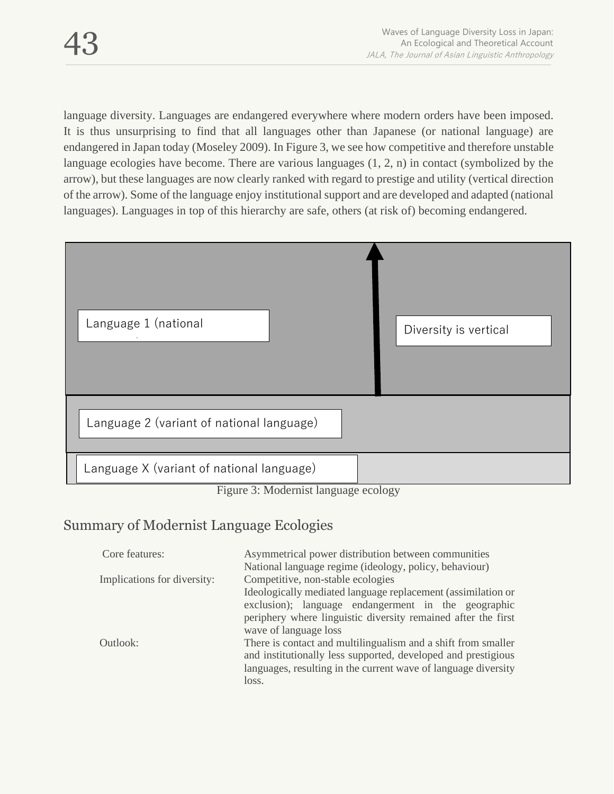language diversity. Languages are endangered everywhere where modern orders have been imposed. It is thus unsurprising to find that all languages other than Japanese (or national language) are endangered in Japan today (Moseley 2009). In Figure 3, we see how competitive and therefore unstable language ecologies have become. There are various languages (1, 2, n) in contact (symbolized by the arrow), but these languages are now clearly ranked with regard to prestige and utility (vertical direction of the arrow). Some of the language enjoy institutional support and are developed and adapted (national languages). Languages in top of this hierarchy are safe, others (at risk of) becoming endangered.



Figure 3: Modernist language ecology

# Summary of Modernist Language Ecologies

| Core features:              | Asymmetrical power distribution between communities            |
|-----------------------------|----------------------------------------------------------------|
|                             | National language regime (ideology, policy, behaviour)         |
| Implications for diversity: | Competitive, non-stable ecologies                              |
|                             | Ideologically mediated language replacement (assimilation or   |
|                             | exclusion); language endangerment in the geographic            |
|                             | periphery where linguistic diversity remained after the first  |
|                             | wave of language loss                                          |
| Outlook:                    | There is contact and multilingualism and a shift from smaller  |
|                             | and institutionally less supported, developed and prestigious  |
|                             | languages, resulting in the current wave of language diversity |
|                             | loss.                                                          |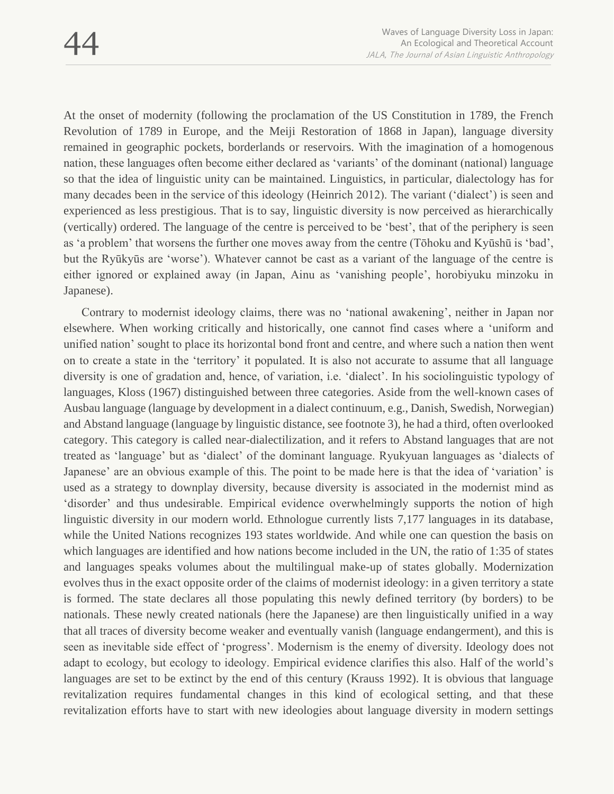At the onset of modernity (following the proclamation of the US Constitution in 1789, the French Revolution of 1789 in Europe, and the Meiji Restoration of 1868 in Japan), language diversity remained in geographic pockets, borderlands or reservoirs. With the imagination of a homogenous nation, these languages often become either declared as 'variants' of the dominant (national) language so that the idea of linguistic unity can be maintained. Linguistics, in particular, dialectology has for many decades been in the service of this ideology (Heinrich 2012). The variant ('dialect') is seen and experienced as less prestigious. That is to say, linguistic diversity is now perceived as hierarchically (vertically) ordered. The language of the centre is perceived to be 'best', that of the periphery is seen as 'a problem' that worsens the further one moves away from the centre (Tōhoku and Kyūshū is 'bad', but the Ryūkyūs are 'worse'). Whatever cannot be cast as a variant of the language of the centre is either ignored or explained away (in Japan, Ainu as 'vanishing people', horobiyuku minzoku in Japanese).

Contrary to modernist ideology claims, there was no 'national awakening', neither in Japan nor elsewhere. When working critically and historically, one cannot find cases where a 'uniform and unified nation' sought to place its horizontal bond front and centre, and where such a nation then went on to create a state in the 'territory' it populated. It is also not accurate to assume that all language diversity is one of gradation and, hence, of variation, i.e. 'dialect'. In his sociolinguistic typology of languages, Kloss (1967) distinguished between three categories. Aside from the well-known cases of Ausbau language (language by development in a dialect continuum, e.g., Danish, Swedish, Norwegian) and Abstand language (language by linguistic distance, see footnote 3), he had a third, often overlooked category. This category is called near-dialectilization, and it refers to Abstand languages that are not treated as 'language' but as 'dialect' of the dominant language. Ryukyuan languages as 'dialects of Japanese' are an obvious example of this. The point to be made here is that the idea of 'variation' is used as a strategy to downplay diversity, because diversity is associated in the modernist mind as 'disorder' and thus undesirable. Empirical evidence overwhelmingly supports the notion of high linguistic diversity in our modern world. Ethnologue currently lists 7,177 languages in its database, while the United Nations recognizes 193 states worldwide. And while one can question the basis on which languages are identified and how nations become included in the UN, the ratio of 1:35 of states and languages speaks volumes about the multilingual make-up of states globally. Modernization evolves thus in the exact opposite order of the claims of modernist ideology: in a given territory a state is formed. The state declares all those populating this newly defined territory (by borders) to be nationals. These newly created nationals (here the Japanese) are then linguistically unified in a way that all traces of diversity become weaker and eventually vanish (language endangerment), and this is seen as inevitable side effect of 'progress'. Modernism is the enemy of diversity. Ideology does not adapt to ecology, but ecology to ideology. Empirical evidence clarifies this also. Half of the world's languages are set to be extinct by the end of this century (Krauss 1992). It is obvious that language revitalization requires fundamental changes in this kind of ecological setting, and that these revitalization efforts have to start with new ideologies about language diversity in modern settings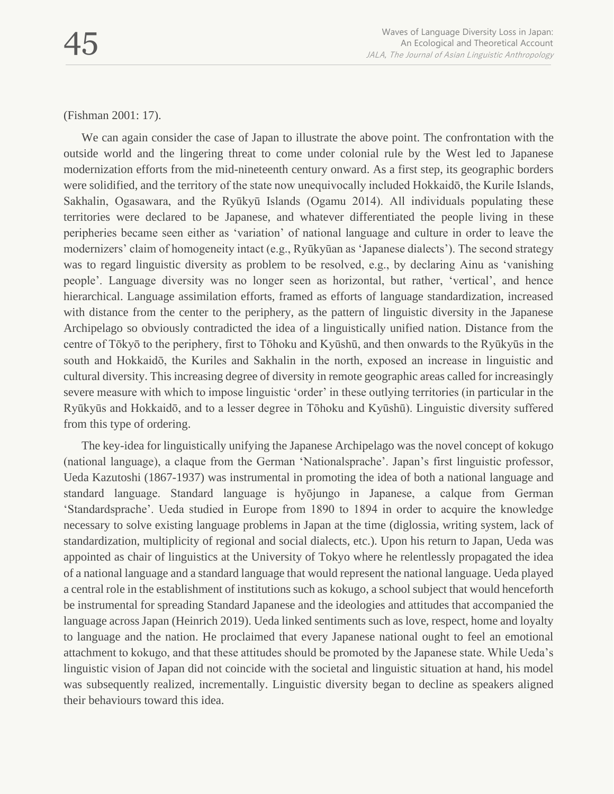(Fishman 2001: 17).

We can again consider the case of Japan to illustrate the above point. The confrontation with the outside world and the lingering threat to come under colonial rule by the West led to Japanese modernization efforts from the mid-nineteenth century onward. As a first step, its geographic borders were solidified, and the territory of the state now unequivocally included Hokkaidō, the Kurile Islands, Sakhalin, Ogasawara, and the Ryūkyū Islands (Ogamu 2014). All individuals populating these territories were declared to be Japanese, and whatever differentiated the people living in these peripheries became seen either as 'variation' of national language and culture in order to leave the modernizers' claim of homogeneity intact (e.g., Ryūkyūan as 'Japanese dialects'). The second strategy was to regard linguistic diversity as problem to be resolved, e.g., by declaring Ainu as 'vanishing people'. Language diversity was no longer seen as horizontal, but rather, 'vertical', and hence hierarchical. Language assimilation efforts, framed as efforts of language standardization, increased with distance from the center to the periphery, as the pattern of linguistic diversity in the Japanese Archipelago so obviously contradicted the idea of a linguistically unified nation. Distance from the centre of Tōkyō to the periphery, first to Tōhoku and Kyūshū, and then onwards to the Ryūkyūs in the south and Hokkaidō, the Kuriles and Sakhalin in the north, exposed an increase in linguistic and cultural diversity. This increasing degree of diversity in remote geographic areas called for increasingly severe measure with which to impose linguistic 'order' in these outlying territories (in particular in the Ryūkyūs and Hokkaidō, and to a lesser degree in Tōhoku and Kyūshū). Linguistic diversity suffered from this type of ordering.

The key-idea for linguistically unifying the Japanese Archipelago was the novel concept of kokugo (national language), a claque from the German 'Nationalsprache'. Japan's first linguistic professor, Ueda Kazutoshi (1867-1937) was instrumental in promoting the idea of both a national language and standard language. Standard language is hyōjungo in Japanese, a calque from German 'Standardsprache'. Ueda studied in Europe from 1890 to 1894 in order to acquire the knowledge necessary to solve existing language problems in Japan at the time (diglossia, writing system, lack of standardization, multiplicity of regional and social dialects, etc.). Upon his return to Japan, Ueda was appointed as chair of linguistics at the University of Tokyo where he relentlessly propagated the idea of a national language and a standard language that would represent the national language. Ueda played a central role in the establishment of institutions such as kokugo, a school subject that would henceforth be instrumental for spreading Standard Japanese and the ideologies and attitudes that accompanied the language across Japan (Heinrich 2019). Ueda linked sentiments such as love, respect, home and loyalty to language and the nation. He proclaimed that every Japanese national ought to feel an emotional attachment to kokugo, and that these attitudes should be promoted by the Japanese state. While Ueda's linguistic vision of Japan did not coincide with the societal and linguistic situation at hand, his model was subsequently realized, incrementally. Linguistic diversity began to decline as speakers aligned their behaviours toward this idea.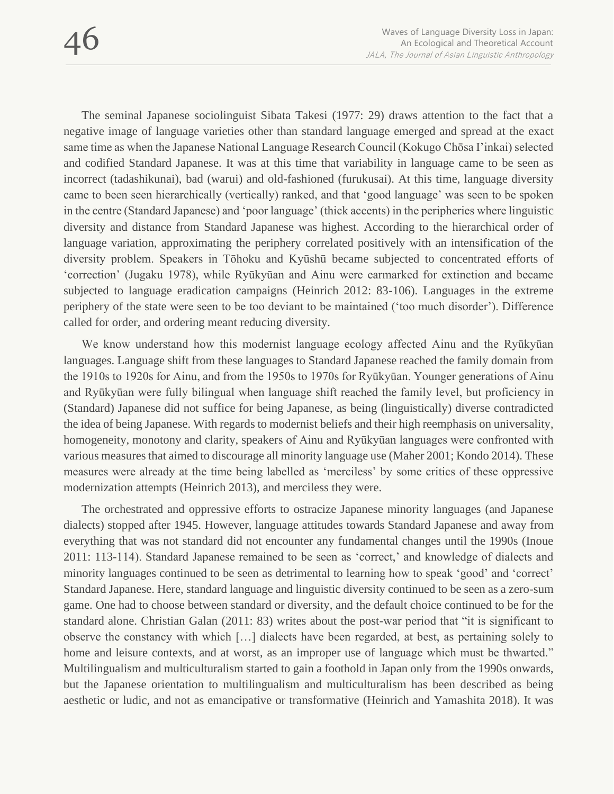The seminal Japanese sociolinguist Sibata Takesi (1977: 29) draws attention to the fact that a negative image of language varieties other than standard language emerged and spread at the exact same time as when the Japanese National Language Research Council (Kokugo Chōsa I'inkai) selected and codified Standard Japanese. It was at this time that variability in language came to be seen as incorrect (tadashikunai), bad (warui) and old-fashioned (furukusai). At this time, language diversity came to been seen hierarchically (vertically) ranked, and that 'good language' was seen to be spoken in the centre (Standard Japanese) and 'poor language' (thick accents) in the peripheries where linguistic diversity and distance from Standard Japanese was highest. According to the hierarchical order of language variation, approximating the periphery correlated positively with an intensification of the diversity problem. Speakers in Tōhoku and Kyūshū became subjected to concentrated efforts of 'correction' (Jugaku 1978), while Ryūkyūan and Ainu were earmarked for extinction and became subjected to language eradication campaigns (Heinrich 2012: 83-106). Languages in the extreme periphery of the state were seen to be too deviant to be maintained ('too much disorder'). Difference called for order, and ordering meant reducing diversity.

We know understand how this modernist language ecology affected Ainu and the Ryūkyūan languages. Language shift from these languages to Standard Japanese reached the family domain from the 1910s to 1920s for Ainu, and from the 1950s to 1970s for Ryūkyūan. Younger generations of Ainu and Ryūkyūan were fully bilingual when language shift reached the family level, but proficiency in (Standard) Japanese did not suffice for being Japanese, as being (linguistically) diverse contradicted the idea of being Japanese. With regards to modernist beliefs and their high reemphasis on universality, homogeneity, monotony and clarity, speakers of Ainu and Ryūkyūan languages were confronted with various measures that aimed to discourage all minority language use (Maher 2001; Kondo 2014). These measures were already at the time being labelled as 'merciless' by some critics of these oppressive modernization attempts (Heinrich 2013), and merciless they were.

The orchestrated and oppressive efforts to ostracize Japanese minority languages (and Japanese dialects) stopped after 1945. However, language attitudes towards Standard Japanese and away from everything that was not standard did not encounter any fundamental changes until the 1990s (Inoue 2011: 113-114). Standard Japanese remained to be seen as 'correct,' and knowledge of dialects and minority languages continued to be seen as detrimental to learning how to speak 'good' and 'correct' Standard Japanese. Here, standard language and linguistic diversity continued to be seen as a zero-sum game. One had to choose between standard or diversity, and the default choice continued to be for the standard alone. Christian Galan (2011: 83) writes about the post-war period that "it is significant to observe the constancy with which […] dialects have been regarded, at best, as pertaining solely to home and leisure contexts, and at worst, as an improper use of language which must be thwarted." Multilingualism and multiculturalism started to gain a foothold in Japan only from the 1990s onwards, but the Japanese orientation to multilingualism and multiculturalism has been described as being aesthetic or ludic, and not as emancipative or transformative (Heinrich and Yamashita 2018). It was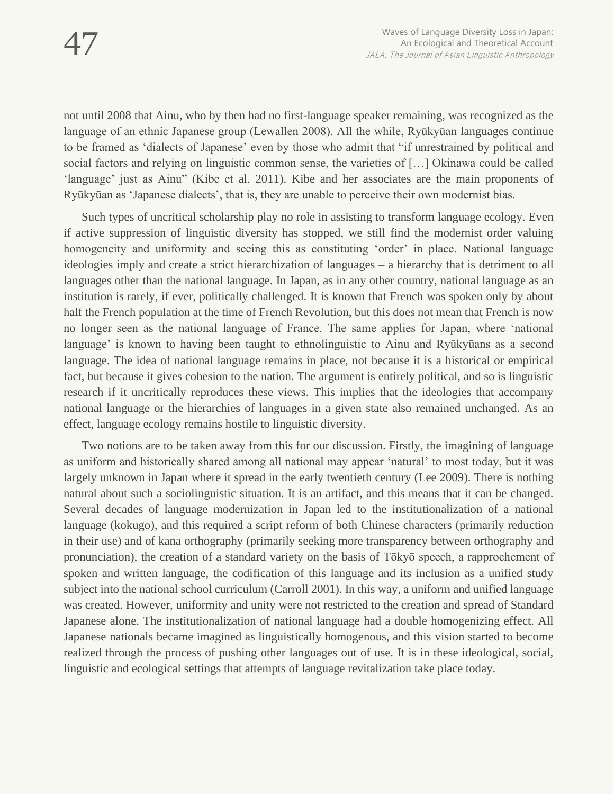not until 2008 that Ainu, who by then had no first-language speaker remaining, was recognized as the language of an ethnic Japanese group (Lewallen 2008). All the while, Ryūkyūan languages continue to be framed as 'dialects of Japanese' even by those who admit that "if unrestrained by political and social factors and relying on linguistic common sense, the varieties of […] Okinawa could be called 'language' just as Ainu" (Kibe et al. 2011). Kibe and her associates are the main proponents of Ryūkyūan as 'Japanese dialects', that is, they are unable to perceive their own modernist bias.

Such types of uncritical scholarship play no role in assisting to transform language ecology. Even if active suppression of linguistic diversity has stopped, we still find the modernist order valuing homogeneity and uniformity and seeing this as constituting 'order' in place. National language ideologies imply and create a strict hierarchization of languages – a hierarchy that is detriment to all languages other than the national language. In Japan, as in any other country, national language as an institution is rarely, if ever, politically challenged. It is known that French was spoken only by about half the French population at the time of French Revolution, but this does not mean that French is now no longer seen as the national language of France. The same applies for Japan, where 'national language' is known to having been taught to ethnolinguistic to Ainu and Ryūkyūans as a second language. The idea of national language remains in place, not because it is a historical or empirical fact, but because it gives cohesion to the nation. The argument is entirely political, and so is linguistic research if it uncritically reproduces these views. This implies that the ideologies that accompany national language or the hierarchies of languages in a given state also remained unchanged. As an effect, language ecology remains hostile to linguistic diversity.

Two notions are to be taken away from this for our discussion. Firstly, the imagining of language as uniform and historically shared among all national may appear 'natural' to most today, but it was largely unknown in Japan where it spread in the early twentieth century (Lee 2009). There is nothing natural about such a sociolinguistic situation. It is an artifact, and this means that it can be changed. Several decades of language modernization in Japan led to the institutionalization of a national language (kokugo), and this required a script reform of both Chinese characters (primarily reduction in their use) and of kana orthography (primarily seeking more transparency between orthography and pronunciation), the creation of a standard variety on the basis of Tōkyō speech, a rapprochement of spoken and written language, the codification of this language and its inclusion as a unified study subject into the national school curriculum (Carroll 2001). In this way, a uniform and unified language was created. However, uniformity and unity were not restricted to the creation and spread of Standard Japanese alone. The institutionalization of national language had a double homogenizing effect. All Japanese nationals became imagined as linguistically homogenous, and this vision started to become realized through the process of pushing other languages out of use. It is in these ideological, social, linguistic and ecological settings that attempts of language revitalization take place today.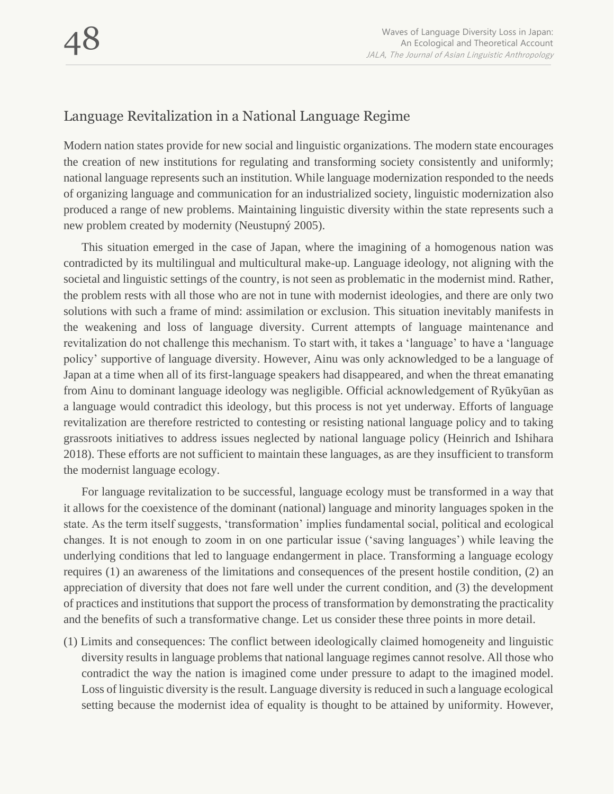# Language Revitalization in a National Language Regime

Modern nation states provide for new social and linguistic organizations. The modern state encourages the creation of new institutions for regulating and transforming society consistently and uniformly; national language represents such an institution. While language modernization responded to the needs of organizing language and communication for an industrialized society, linguistic modernization also produced a range of new problems. Maintaining linguistic diversity within the state represents such a new problem created by modernity (Neustupný 2005).

This situation emerged in the case of Japan, where the imagining of a homogenous nation was contradicted by its multilingual and multicultural make-up. Language ideology, not aligning with the societal and linguistic settings of the country, is not seen as problematic in the modernist mind. Rather, the problem rests with all those who are not in tune with modernist ideologies, and there are only two solutions with such a frame of mind: assimilation or exclusion. This situation inevitably manifests in the weakening and loss of language diversity. Current attempts of language maintenance and revitalization do not challenge this mechanism. To start with, it takes a 'language' to have a 'language policy' supportive of language diversity. However, Ainu was only acknowledged to be a language of Japan at a time when all of its first-language speakers had disappeared, and when the threat emanating from Ainu to dominant language ideology was negligible. Official acknowledgement of Ryūkyūan as a language would contradict this ideology, but this process is not yet underway. Efforts of language revitalization are therefore restricted to contesting or resisting national language policy and to taking grassroots initiatives to address issues neglected by national language policy (Heinrich and Ishihara 2018). These efforts are not sufficient to maintain these languages, as are they insufficient to transform the modernist language ecology.

For language revitalization to be successful, language ecology must be transformed in a way that it allows for the coexistence of the dominant (national) language and minority languages spoken in the state. As the term itself suggests, 'transformation' implies fundamental social, political and ecological changes. It is not enough to zoom in on one particular issue ('saving languages') while leaving the underlying conditions that led to language endangerment in place. Transforming a language ecology requires (1) an awareness of the limitations and consequences of the present hostile condition, (2) an appreciation of diversity that does not fare well under the current condition, and (3) the development of practices and institutions that support the process of transformation by demonstrating the practicality and the benefits of such a transformative change. Let us consider these three points in more detail.

(1) Limits and consequences: The conflict between ideologically claimed homogeneity and linguistic diversity results in language problems that national language regimes cannot resolve. All those who contradict the way the nation is imagined come under pressure to adapt to the imagined model. Loss of linguistic diversity is the result. Language diversity is reduced in such a language ecological setting because the modernist idea of equality is thought to be attained by uniformity. However,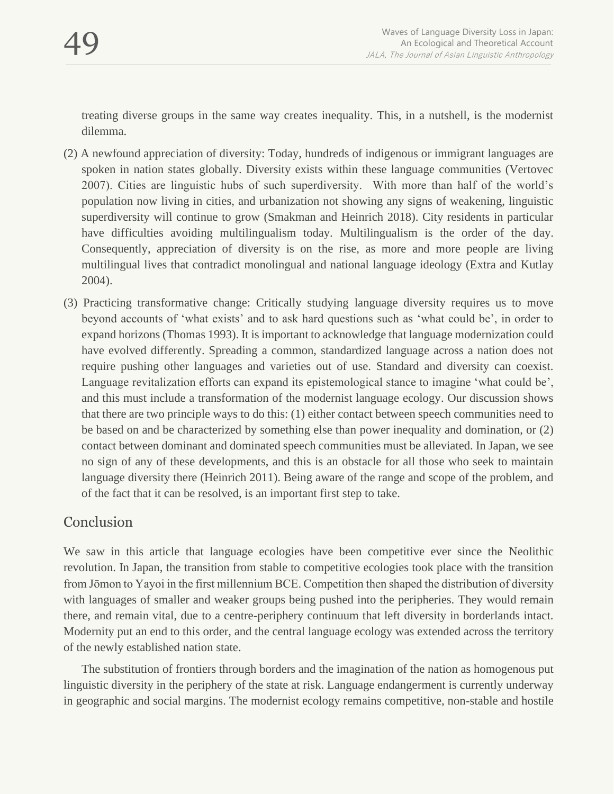treating diverse groups in the same way creates inequality. This, in a nutshell, is the modernist dilemma.

- (2) A newfound appreciation of diversity: Today, hundreds of indigenous or immigrant languages are spoken in nation states globally. Diversity exists within these language communities (Vertovec 2007). Cities are linguistic hubs of such superdiversity. With more than half of the world's population now living in cities, and urbanization not showing any signs of weakening, linguistic superdiversity will continue to grow (Smakman and Heinrich 2018). City residents in particular have difficulties avoiding multilingualism today. Multilingualism is the order of the day. Consequently, appreciation of diversity is on the rise, as more and more people are living multilingual lives that contradict monolingual and national language ideology (Extra and Kutlay 2004).
- (3) Practicing transformative change: Critically studying language diversity requires us to move beyond accounts of 'what exists' and to ask hard questions such as 'what could be', in order to expand horizons (Thomas 1993). It is important to acknowledge that language modernization could have evolved differently. Spreading a common, standardized language across a nation does not require pushing other languages and varieties out of use. Standard and diversity can coexist. Language revitalization efforts can expand its epistemological stance to imagine 'what could be', and this must include a transformation of the modernist language ecology. Our discussion shows that there are two principle ways to do this: (1) either contact between speech communities need to be based on and be characterized by something else than power inequality and domination, or (2) contact between dominant and dominated speech communities must be alleviated. In Japan, we see no sign of any of these developments, and this is an obstacle for all those who seek to maintain language diversity there (Heinrich 2011). Being aware of the range and scope of the problem, and of the fact that it can be resolved, is an important first step to take.

## **Conclusion**

We saw in this article that language ecologies have been competitive ever since the Neolithic revolution. In Japan, the transition from stable to competitive ecologies took place with the transition from Jōmon to Yayoi in the first millennium BCE. Competition then shaped the distribution of diversity with languages of smaller and weaker groups being pushed into the peripheries. They would remain there, and remain vital, due to a centre-periphery continuum that left diversity in borderlands intact. Modernity put an end to this order, and the central language ecology was extended across the territory of the newly established nation state.

The substitution of frontiers through borders and the imagination of the nation as homogenous put linguistic diversity in the periphery of the state at risk. Language endangerment is currently underway in geographic and social margins. The modernist ecology remains competitive, non-stable and hostile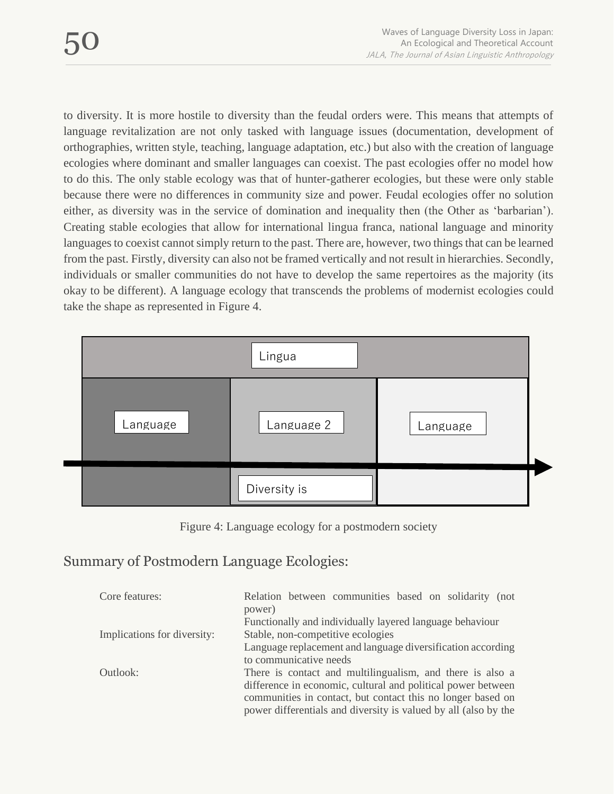to diversity. It is more hostile to diversity than the feudal orders were. This means that attempts of language revitalization are not only tasked with language issues (documentation, development of orthographies, written style, teaching, language adaptation, etc.) but also with the creation of language ecologies where dominant and smaller languages can coexist. The past ecologies offer no model how to do this. The only stable ecology was that of hunter-gatherer ecologies, but these were only stable because there were no differences in community size and power. Feudal ecologies offer no solution either, as diversity was in the service of domination and inequality then (the Other as 'barbarian'). Creating stable ecologies that allow for international lingua franca, national language and minority languages to coexist cannot simply return to the past. There are, however, two things that can be learned from the past. Firstly, diversity can also not be framed vertically and not result in hierarchies. Secondly, individuals or smaller communities do not have to develop the same repertoires as the majority (its okay to be different). A language ecology that transcends the problems of modernist ecologies could take the shape as represented in Figure 4.



Figure 4: Language ecology for a postmodern society

Summary of Postmodern Language Ecologies:

| Core features:              | Relation between communities based on solidarity (not<br>power) |
|-----------------------------|-----------------------------------------------------------------|
|                             | Functionally and individually layered language behaviour        |
| Implications for diversity: | Stable, non-competitive ecologies                               |
|                             | Language replacement and language diversification according     |
|                             | to communicative needs                                          |
| Outlook:                    | There is contact and multilingualism, and there is also a       |
|                             | difference in economic, cultural and political power between    |
|                             | communities in contact, but contact this no longer based on     |
|                             | power differentials and diversity is valued by all (also by the |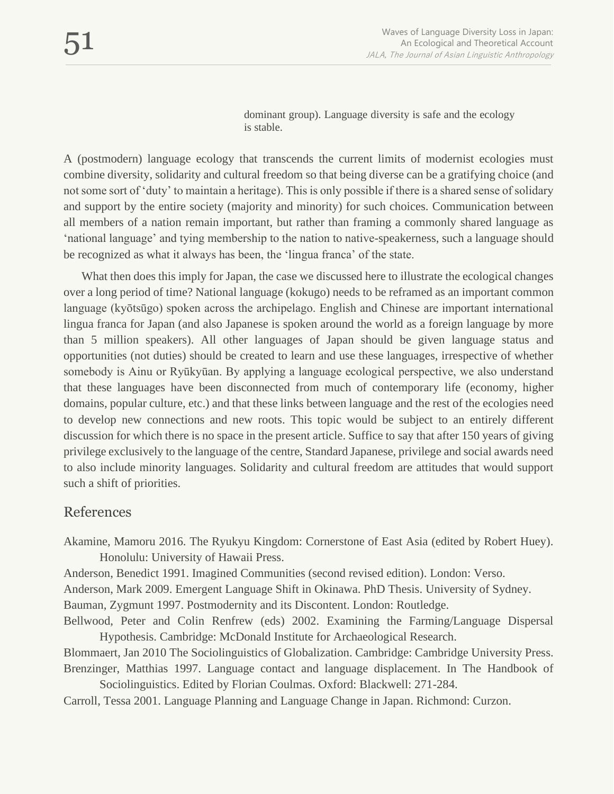dominant group). Language diversity is safe and the ecology is stable.

A (postmodern) language ecology that transcends the current limits of modernist ecologies must combine diversity, solidarity and cultural freedom so that being diverse can be a gratifying choice (and not some sort of 'duty' to maintain a heritage). This is only possible if there is a shared sense of solidary and support by the entire society (majority and minority) for such choices. Communication between all members of a nation remain important, but rather than framing a commonly shared language as 'national language' and tying membership to the nation to native-speakerness, such a language should be recognized as what it always has been, the 'lingua franca' of the state.

What then does this imply for Japan, the case we discussed here to illustrate the ecological changes over a long period of time? National language (kokugo) needs to be reframed as an important common language (kyōtsūgo) spoken across the archipelago. English and Chinese are important international lingua franca for Japan (and also Japanese is spoken around the world as a foreign language by more than 5 million speakers). All other languages of Japan should be given language status and opportunities (not duties) should be created to learn and use these languages, irrespective of whether somebody is Ainu or Ryūkyūan. By applying a language ecological perspective, we also understand that these languages have been disconnected from much of contemporary life (economy, higher domains, popular culture, etc.) and that these links between language and the rest of the ecologies need to develop new connections and new roots. This topic would be subject to an entirely different discussion for which there is no space in the present article. Suffice to say that after 150 years of giving privilege exclusively to the language of the centre, Standard Japanese, privilege and social awards need to also include minority languages. Solidarity and cultural freedom are attitudes that would support such a shift of priorities.

#### References

Akamine, Mamoru 2016. The Ryukyu Kingdom: Cornerstone of East Asia (edited by Robert Huey). Honolulu: University of Hawaii Press.

Anderson, Benedict 1991. Imagined Communities (second revised edition). London: Verso.

Anderson, Mark 2009. Emergent Language Shift in Okinawa. PhD Thesis. University of Sydney.

Bauman, Zygmunt 1997. Postmodernity and its Discontent. London: Routledge.

Bellwood, Peter and Colin Renfrew (eds) 2002. Examining the Farming/Language Dispersal Hypothesis. Cambridge: McDonald Institute for Archaeological Research.

Blommaert, Jan 2010 The Sociolinguistics of Globalization. Cambridge: Cambridge University Press. Brenzinger, Matthias 1997. Language contact and language displacement. In The Handbook of

Sociolinguistics. Edited by Florian Coulmas. Oxford: Blackwell: 271-284.

Carroll, Tessa 2001. Language Planning and Language Change in Japan. Richmond: Curzon.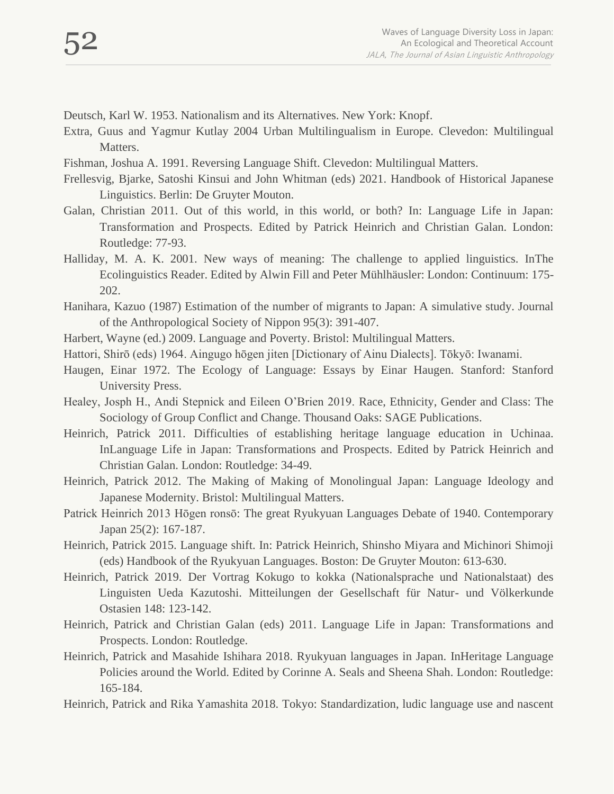- Deutsch, Karl W. 1953. Nationalism and its Alternatives. New York: Knopf.
- Extra, Guus and Yagmur Kutlay 2004 Urban Multilingualism in Europe. Clevedon: Multilingual Matters.
- Fishman, Joshua A. 1991. Reversing Language Shift. Clevedon: Multilingual Matters.
- Frellesvig, Bjarke, Satoshi Kinsui and John Whitman (eds) 2021. Handbook of Historical Japanese Linguistics. Berlin: De Gruyter Mouton.
- Galan, Christian 2011. Out of this world, in this world, or both? In: Language Life in Japan: Transformation and Prospects. Edited by Patrick Heinrich and Christian Galan. London: Routledge: 77-93.
- Halliday, M. A. K. 2001. New ways of meaning: The challenge to applied linguistics. InThe Ecolinguistics Reader. Edited by Alwin Fill and Peter Mühlhäusler: London: Continuum: 175- 202.
- Hanihara, Kazuo (1987) Estimation of the number of migrants to Japan: A simulative study. Journal of the Anthropological Society of Nippon 95(3): 391-407.
- Harbert, Wayne (ed.) 2009. Language and Poverty. Bristol: Multilingual Matters.
- Hattori, Shirō (eds) 1964. Aingugo hōgen jiten [Dictionary of Ainu Dialects]. Tōkyō: Iwanami.
- Haugen, Einar 1972. The Ecology of Language: Essays by Einar Haugen. Stanford: Stanford University Press.
- Healey, Josph H., Andi Stepnick and Eileen O'Brien 2019. Race, Ethnicity, Gender and Class: The Sociology of Group Conflict and Change. Thousand Oaks: SAGE Publications.
- Heinrich, Patrick 2011. Difficulties of establishing heritage language education in Uchinaa. InLanguage Life in Japan: Transformations and Prospects. Edited by Patrick Heinrich and Christian Galan. London: Routledge: 34-49.
- Heinrich, Patrick 2012. The Making of Making of Monolingual Japan: Language Ideology and Japanese Modernity. Bristol: Multilingual Matters.
- Patrick Heinrich 2013 Hōgen ronsō: The great Ryukyuan Languages Debate of 1940. Contemporary Japan 25(2): 167-187.
- Heinrich, Patrick 2015. Language shift. In: Patrick Heinrich, Shinsho Miyara and Michinori Shimoji (eds) Handbook of the Ryukyuan Languages. Boston: De Gruyter Mouton: 613-630.
- Heinrich, Patrick 2019. Der Vortrag Kokugo to kokka (Nationalsprache und Nationalstaat) des Linguisten Ueda Kazutoshi. Mitteilungen der Gesellschaft für Natur- und Völkerkunde Ostasien 148: 123-142.
- Heinrich, Patrick and Christian Galan (eds) 2011. Language Life in Japan: Transformations and Prospects. London: Routledge.
- Heinrich, Patrick and Masahide Ishihara 2018. Ryukyuan languages in Japan. InHeritage Language Policies around the World. Edited by Corinne A. Seals and Sheena Shah. London: Routledge: 165-184.
- Heinrich, Patrick and Rika Yamashita 2018. Tokyo: Standardization, ludic language use and nascent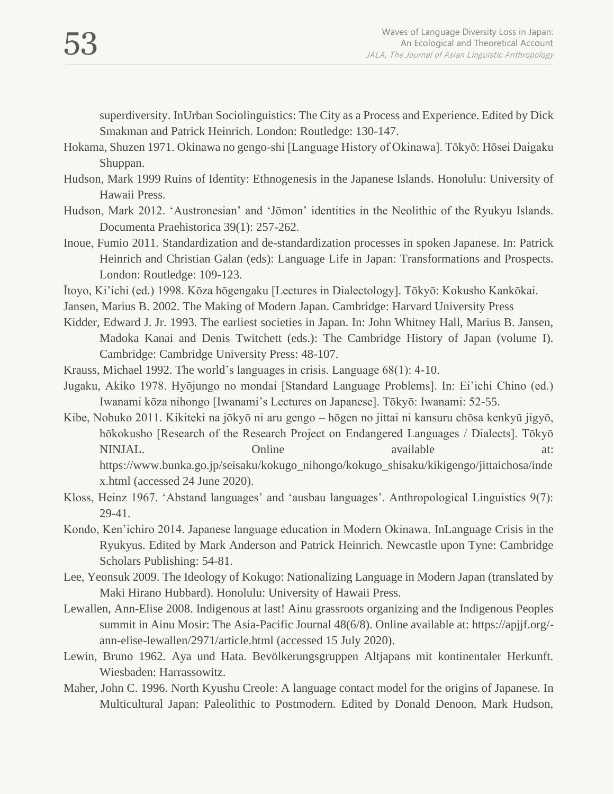superdiversity. InUrban Sociolinguistics: The City as a Process and Experience. Edited by Dick Smakman and Patrick Heinrich. London: Routledge: 130-147.

- Hokama, Shuzen 1971. Okinawa no gengo-shi [Language History of Okinawa]. Tōkyō: Hōsei Daigaku Shuppan.
- Hudson, Mark 1999 Ruins of Identity: Ethnogenesis in the Japanese Islands. Honolulu: University of Hawaii Press.
- Hudson, Mark 2012. 'Austronesian' and 'Jōmon' identities in the Neolithic of the Ryukyu Islands. Documenta Praehistorica 39(1): 257-262.
- Inoue, Fumio 2011. Standardization and de-standardization processes in spoken Japanese. In: Patrick Heinrich and Christian Galan (eds): Language Life in Japan: Transformations and Prospects. London: Routledge: 109-123.
- Ītoyo, Ki'ichi (ed.) 1998. Kōza hōgengaku [Lectures in Dialectology]. Tōkyō: Kokusho Kankōkai.
- Jansen, Marius B. 2002. The Making of Modern Japan. Cambridge: Harvard University Press
- Kidder, Edward J. Jr. 1993. The earliest societies in Japan. In: John Whitney Hall, Marius B. Jansen, Madoka Kanai and Denis Twitchett (eds.): The Cambridge History of Japan (volume I). Cambridge: Cambridge University Press: 48-107.
- Krauss, Michael 1992. The world's languages in crisis. Language 68(1): 4-10.
- Jugaku, Akiko 1978. Hyōjungo no mondai [Standard Language Problems]. In: Ei'ichi Chino (ed.) Iwanami kōza nihongo [Iwanami's Lectures on Japanese]. Tōkyō: Iwanami: 52-55.
- Kibe, Nobuko 2011. Kikiteki na jōkyō ni aru gengo hōgen no jittai ni kansuru chōsa kenkyū jigyō, hōkokusho [Research of the Research Project on Endangered Languages / Dialects]. Tōkyō NINJAL. Conline available at: https://www.bunka.go.jp/seisaku/kokugo\_nihongo/kokugo\_shisaku/kikigengo/jittaichosa/inde x.html (accessed 24 June 2020).
- Kloss, Heinz 1967. 'Abstand languages' and 'ausbau languages'. Anthropological Linguistics 9(7): 29-41.
- Kondo, Ken'ichiro 2014. Japanese language education in Modern Okinawa. InLanguage Crisis in the Ryukyus. Edited by Mark Anderson and Patrick Heinrich. Newcastle upon Tyne: Cambridge Scholars Publishing: 54-81.
- Lee, Yeonsuk 2009. The Ideology of Kokugo: Nationalizing Language in Modern Japan (translated by Maki Hirano Hubbard). Honolulu: University of Hawaii Press.
- Lewallen, Ann-Elise 2008. Indigenous at last! Ainu grassroots organizing and the Indigenous Peoples summit in Ainu Mosir: The Asia-Pacific Journal 48(6/8). Online available at: https://apjjf.org/ ann-elise-lewallen/2971/article.html (accessed 15 July 2020).
- Lewin, Bruno 1962. Aya und Hata. Bevölkerungsgruppen Altjapans mit kontinentaler Herkunft. Wiesbaden: Harrassowitz.
- Maher, John C. 1996. North Kyushu Creole: A language contact model for the origins of Japanese. In Multicultural Japan: Paleolithic to Postmodern. Edited by Donald Denoon, Mark Hudson,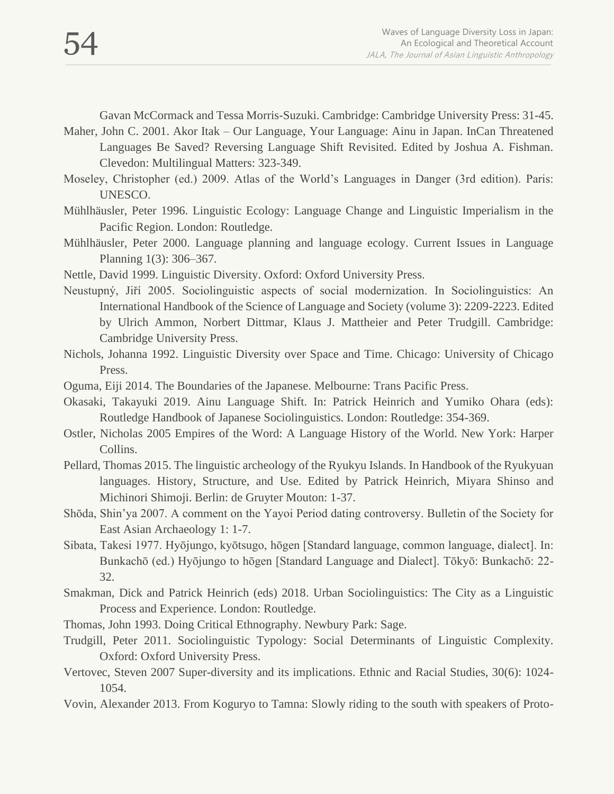Gavan McCormack and Tessa Morris-Suzuki. Cambridge: Cambridge University Press: 31-45.

- Maher, John C. 2001. Akor Itak Our Language, Your Language: Ainu in Japan. InCan Threatened Languages Be Saved? Reversing Language Shift Revisited. Edited by Joshua A. Fishman. Clevedon: Multilingual Matters: 323-349.
- Moseley, Christopher (ed.) 2009. Atlas of the World's Languages in Danger (3rd edition). Paris: UNESCO.
- Mühlhäusler, Peter 1996. Linguistic Ecology: Language Change and Linguistic Imperialism in the Pacific Region. London: Routledge.
- Mühlhäusler, Peter 2000. Language planning and language ecology. Current Issues in Language Planning 1(3): 306–367.
- Nettle, David 1999. Linguistic Diversity. Oxford: Oxford University Press.
- Neustupný, Jiří 2005. Sociolinguistic aspects of social modernization. In Sociolinguistics: An International Handbook of the Science of Language and Society (volume 3): 2209-2223. Edited by Ulrich Ammon, Norbert Dittmar, Klaus J. Mattheier and Peter Trudgill. Cambridge: Cambridge University Press.
- Nichols, Johanna 1992. Linguistic Diversity over Space and Time. Chicago: University of Chicago Press.
- Oguma, Eiji 2014. The Boundaries of the Japanese. Melbourne: Trans Pacific Press.
- Okasaki, Takayuki 2019. Ainu Language Shift. In: Patrick Heinrich and Yumiko Ohara (eds): Routledge Handbook of Japanese Sociolinguistics. London: Routledge: 354-369.
- Ostler, Nicholas 2005 Empires of the Word: A Language History of the World. New York: Harper Collins.
- Pellard, Thomas 2015. The linguistic archeology of the Ryukyu Islands. In Handbook of the Ryukyuan languages. History, Structure, and Use. Edited by Patrick Heinrich, Miyara Shinso and Michinori Shimoji. Berlin: de Gruyter Mouton: 1-37.
- Shōda, Shin'ya 2007. A comment on the Yayoi Period dating controversy. Bulletin of the Society for East Asian Archaeology 1: 1-7.
- Sibata, Takesi 1977. Hyōjungo, kyōtsugo, hōgen [Standard language, common language, dialect]. In: Bunkachō (ed.) Hyōjungo to hōgen [Standard Language and Dialect]. Tōkyō: Bunkachō: 22- 32.
- Smakman, Dick and Patrick Heinrich (eds) 2018. Urban Sociolinguistics: The City as a Linguistic Process and Experience. London: Routledge.
- Thomas, John 1993. Doing Critical Ethnography. Newbury Park: Sage.
- Trudgill, Peter 2011. Sociolinguistic Typology: Social Determinants of Linguistic Complexity. Oxford: Oxford University Press.
- Vertovec, Steven 2007 Super-diversity and its implications. Ethnic and Racial Studies, 30(6): 1024- 1054.
- Vovin, Alexander 2013. From Koguryo to Tamna: Slowly riding to the south with speakers of Proto-